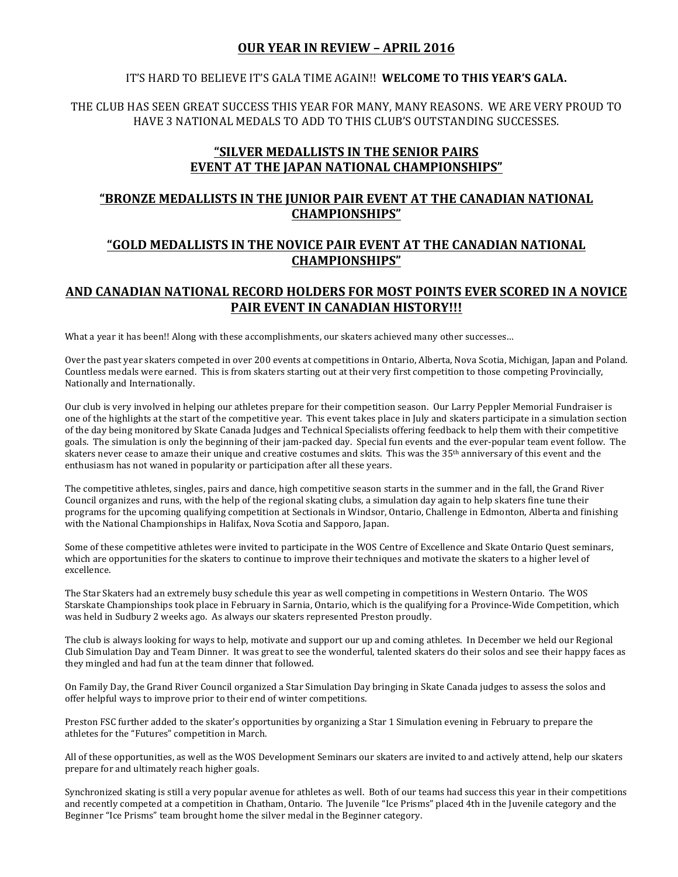## **OUR YEAR IN REVIEW – APRIL 2016**

#### IT'S HARD TO BELIEVE IT'S GALA TIME AGAIN!! WELCOME TO THIS YEAR'S GALA.

THE CLUB HAS SEEN GREAT SUCCESS THIS YEAR FOR MANY, MANY REASONS. WE ARE VERY PROUD TO HAVE 3 NATIONAL MEDALS TO ADD TO THIS CLUB'S OUTSTANDING SUCCESSES.

# **"SILVER MEDALLISTS IN THE SENIOR PAIRS EVENT AT THE JAPAN NATIONAL CHAMPIONSHIPS"**

# **"BRONZE MEDALLISTS IN THE JUNIOR PAIR EVENT AT THE CANADIAN NATIONAL CHAMPIONSHIPS"**

# **"GOLD MEDALLISTS IN THE NOVICE PAIR EVENT AT THE CANADIAN NATIONAL CHAMPIONSHIPS"**

## AND CANADIAN NATIONAL RECORD HOLDERS FOR MOST POINTS EVER SCORED IN A NOVICE PAIR EVENT IN CANADIAN HISTORY!!!

What a year it has been!! Along with these accomplishments, our skaters achieved many other successes...

Over the past year skaters competed in over 200 events at competitions in Ontario, Alberta, Nova Scotia, Michigan, Japan and Poland. Countless medals were earned. This is from skaters starting out at their very first competition to those competing Provincially, Nationally and Internationally.

Our club is very involved in helping our athletes prepare for their competition season. Our Larry Peppler Memorial Fundraiser is one of the highlights at the start of the competitive vear. This event takes place in July and skaters participate in a simulation section of the day being monitored by Skate Canada Judges and Technical Specialists offering feedback to help them with their competitive goals. The simulation is only the beginning of their jam-packed day. Special fun events and the ever-popular team event follow. The skaters never cease to amaze their unique and creative costumes and skits. This was the  $35<sup>th</sup>$  anniversary of this event and the enthusiasm has not waned in popularity or participation after all these years.

The competitive athletes, singles, pairs and dance, high competitive season starts in the summer and in the fall, the Grand River Council organizes and runs, with the help of the regional skating clubs, a simulation day again to help skaters fine tune their programs for the upcoming qualifying competition at Sectionals in Windsor, Ontario, Challenge in Edmonton, Alberta and finishing with the National Championships in Halifax, Nova Scotia and Sapporo, Japan.

Some of these competitive athletes were invited to participate in the WOS Centre of Excellence and Skate Ontario Quest seminars, which are opportunities for the skaters to continue to improve their techniques and motivate the skaters to a higher level of excellence.

The Star Skaters had an extremely busy schedule this year as well competing in competitions in Western Ontario. The WOS Starskate Championships took place in February in Sarnia, Ontario, which is the qualifying for a Province-Wide Competition, which was held in Sudbury 2 weeks ago. As always our skaters represented Preston proudly.

The club is always looking for ways to help, motivate and support our up and coming athletes. In December we held our Regional Club Simulation Day and Team Dinner. It was great to see the wonderful, talented skaters do their solos and see their happy faces as they mingled and had fun at the team dinner that followed.

On Family Day, the Grand River Council organized a Star Simulation Day bringing in Skate Canada judges to assess the solos and offer helpful ways to improve prior to their end of winter competitions.

Preston FSC further added to the skater's opportunities by organizing a Star 1 Simulation evening in February to prepare the athletes for the "Futures" competition in March.

All of these opportunities, as well as the WOS Development Seminars our skaters are invited to and actively attend, help our skaters prepare for and ultimately reach higher goals.

Synchronized skating is still a very popular avenue for athletes as well. Both of our teams had success this year in their competitions and recently competed at a competition in Chatham, Ontario. The Juvenile "Ice Prisms" placed 4th in the Juvenile category and the Beginner "Ice Prisms" team brought home the silver medal in the Beginner category.